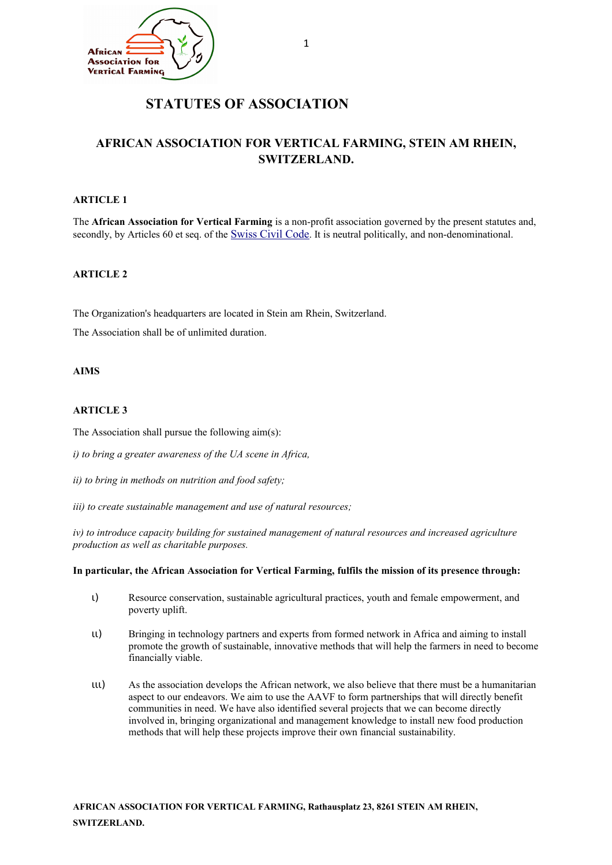

# **STATUTES OF ASSOCIATION**

## **AFRICAN ASSOCIATION FOR VERTICAL FARMING, STEIN AM RHEIN, SWITZERLAND.**

## **ARTICLE 1**

The **African Association for Vertical Farming** is a non-profit association governed by the present statutes and, secondly, by Articles 60 et seq. of the [Swiss Civil Code](http://www.admin.ch/ch/e/rs/2/210.en.pdf). It is neutral politically, and non-denominational.

#### **ARTICLE 2**

The Organization's headquarters are located in Stein am Rhein, Switzerland.

The Association shall be of unlimited duration.

#### **AIMS**

### **ARTICLE 3**

The Association shall pursue the following aim(s):

*i) to bring a greater awareness of the UA scene in Africa,*

*ii) to bring in methods on nutrition and food safety;*

*iii) to create sustainable management and use of natural resources;*

*iv) to introduce capacity building for sustained management of natural resources and increased agriculture production as well as charitable purposes.*

#### **In particular, the African Association for Vertical Farming, fulfils the mission of its presence through:**

- ι) Resource conservation, sustainable agricultural practices, youth and female empowerment, and poverty uplift.
- ιι) Bringing in technology partners and experts from formed network in Africa and aiming to install promote the growth of sustainable, innovative methods that will help the farmers in need to become financially viable.
- ιιι) As the association develops the African network, we also believe that there must be a humanitarian aspect to our endeavors. We aim to use the AAVF to form partnerships that will directly benefit communities in need. We have also identified several projects that we can become directly involved in, bringing organizational and management knowledge to install new food production methods that will help these projects improve their own financial sustainability.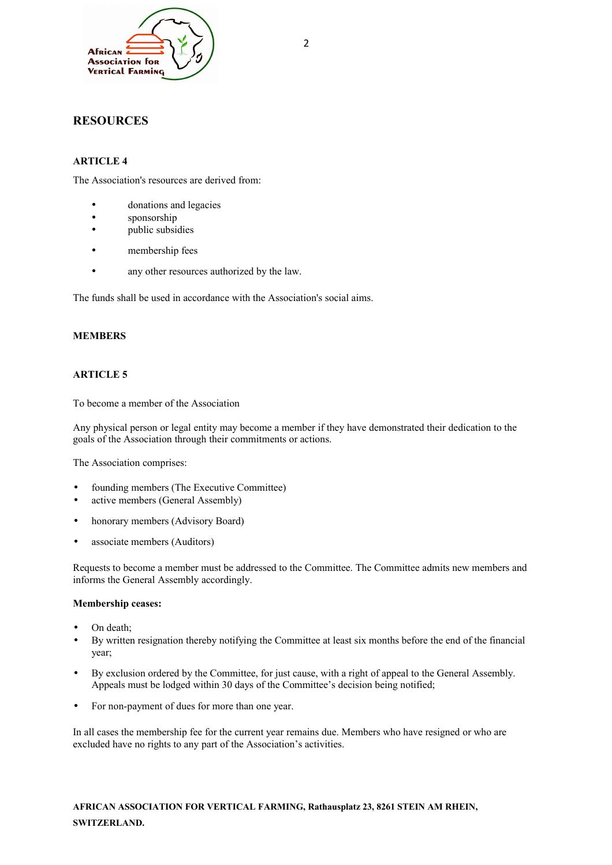

## **RESOURCES**

## **ARTICLE 4**

The Association's resources are derived from:

- donations and legacies
- sponsorship
- public subsidies
- membership fees
- any other resources authorized by the law.

The funds shall be used in accordance with the Association's social aims.

## **MEMBERS**

## **ARTICLE 5**

To become a member of the Association

Any physical person or legal entity may become a member if they have demonstrated their dedication to the goals of the Association through their commitments or actions.

The Association comprises:

- founding members (The Executive Committee)
- active members (General Assembly)
- honorary members (Advisory Board)
- associate members (Auditors)

Requests to become a member must be addressed to the Committee. The Committee admits new members and informs the General Assembly accordingly.

#### **Membership ceases:**

- On death;
- By written resignation thereby notifying the Committee at least six months before the end of the financial year;
- By exclusion ordered by the Committee, for just cause, with a right of appeal to the General Assembly. Appeals must be lodged within 30 days of the Committee's decision being notified;
- For non-payment of dues for more than one year.

In all cases the membership fee for the current year remains due. Members who have resigned or who are excluded have no rights to any part of the Association's activities.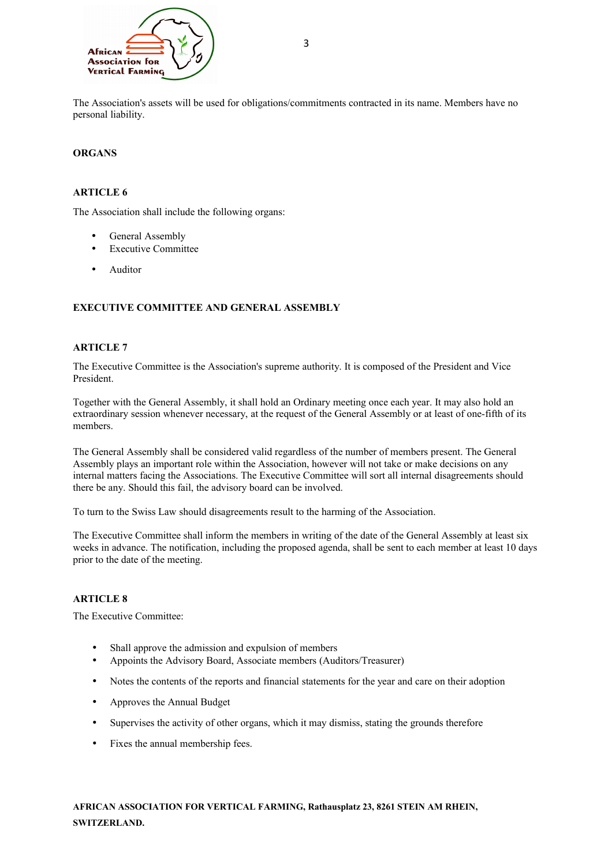

The Association's assets will be used for obligations/commitments contracted in its name. Members have no personal liability.

### **ORGANS**

## **ARTICLE 6**

The Association shall include the following organs:

- General Assembly
- Executive Committee
- **Auditor**

## **EXECUTIVE COMMITTEE AND GENERAL ASSEMBLY**

#### **ARTICLE 7**

The Executive Committee is the Association's supreme authority. It is composed of the President and Vice President.

Together with the General Assembly, it shall hold an Ordinary meeting once each year. It may also hold an extraordinary session whenever necessary, at the request of the General Assembly or at least of one-fifth of its members.

The General Assembly shall be considered valid regardless of the number of members present. The General Assembly plays an important role within the Association, however will not take or make decisions on any internal matters facing the Associations. The Executive Committee will sort all internal disagreements should there be any. Should this fail, the advisory board can be involved.

To turn to the Swiss Law should disagreements result to the harming of the Association.

The Executive Committee shall inform the members in writing of the date of the General Assembly at least six weeks in advance. The notification, including the proposed agenda, shall be sent to each member at least 10 days prior to the date of the meeting.

#### **ARTICLE 8**

The Executive Committee:

- Shall approve the admission and expulsion of members
- Appoints the Advisory Board, Associate members (Auditors/Treasurer)
- Notes the contents of the reports and financial statements for the year and care on their adoption
- Approves the Annual Budget
- Supervises the activity of other organs, which it may dismiss, stating the grounds therefore
- Fixes the annual membership fees.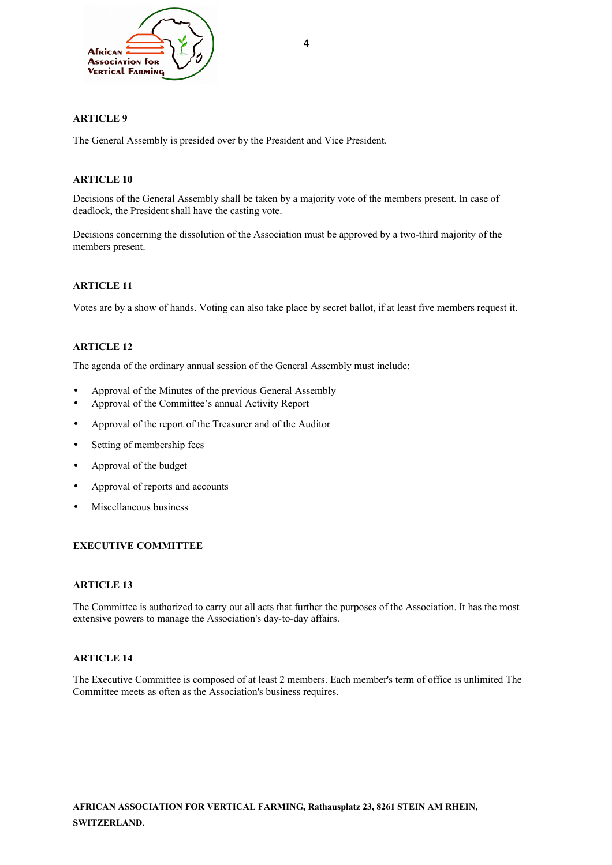

## **ARTICLE 9**

The General Assembly is presided over by the President and Vice President.

## **ARTICLE 10**

Decisions of the General Assembly shall be taken by a majority vote of the members present. In case of deadlock, the President shall have the casting vote.

Decisions concerning the dissolution of the Association must be approved by a two-third majority of the members present.

## **ARTICLE 11**

Votes are by a show of hands. Voting can also take place by secret ballot, if at least five members request it.

## **ARTICLE 12**

The agenda of the ordinary annual session of the General Assembly must include:

- Approval of the Minutes of the previous General Assembly
- Approval of the Committee's annual Activity Report
- Approval of the report of the Treasurer and of the Auditor
- Setting of membership fees
- Approval of the budget
- Approval of reports and accounts
- Miscellaneous business

## **EXECUTIVE COMMITTEE**

#### **ARTICLE 13**

The Committee is authorized to carry out all acts that further the purposes of the Association. It has the most extensive powers to manage the Association's day-to-day affairs.

## **ARTICLE 14**

The Executive Committee is composed of at least 2 members. Each member's term of office is unlimited The Committee meets as often as the Association's business requires.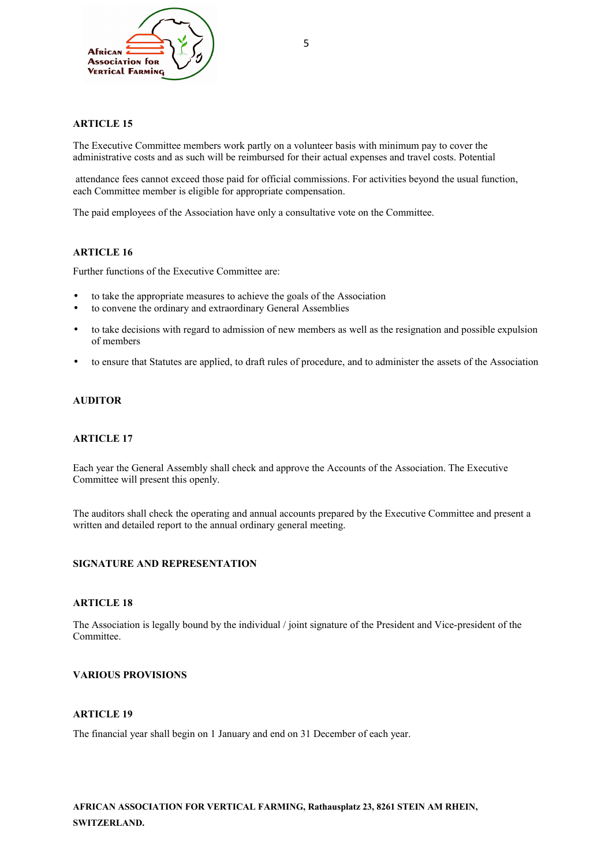

### **ARTICLE 15**

The Executive Committee members work partly on a volunteer basis with minimum pay to cover the administrative costs and as such will be reimbursed for their actual expenses and travel costs. Potential

 attendance fees cannot exceed those paid for official commissions. For activities beyond the usual function, each Committee member is eligible for appropriate compensation.

The paid employees of the Association have only a consultative vote on the Committee.

## **ARTICLE 16**

Further functions of the Executive Committee are:

- to take the appropriate measures to achieve the goals of the Association
- to convene the ordinary and extraordinary General Assemblies
- to take decisions with regard to admission of new members as well as the resignation and possible expulsion of members
- to ensure that Statutes are applied, to draft rules of procedure, and to administer the assets of the Association

#### **AUDITOR**

#### **ARTICLE 17**

Each year the General Assembly shall check and approve the Accounts of the Association. The Executive Committee will present this openly.

The auditors shall check the operating and annual accounts prepared by the Executive Committee and present a written and detailed report to the annual ordinary general meeting.

#### **SIGNATURE AND REPRESENTATION**

#### **ARTICLE 18**

The Association is legally bound by the individual / joint signature of the President and Vice-president of the Committee.

#### **VARIOUS PROVISIONS**

#### **ARTICLE 19**

The financial year shall begin on 1 January and end on 31 December of each year.